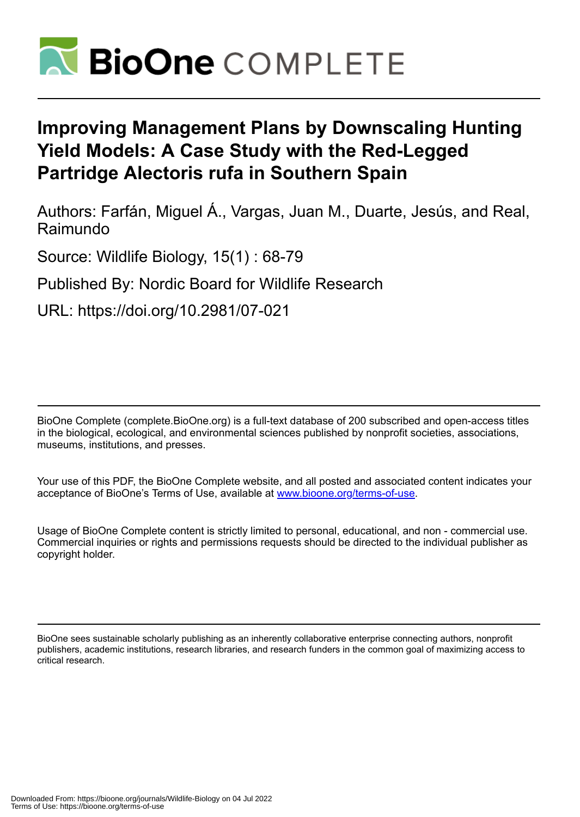

# **Improving Management Plans by Downscaling Hunting Yield Models: A Case Study with the Red-Legged Partridge Alectoris rufa in Southern Spain**

Authors: Farfán, Miguel Á., Vargas, Juan M., Duarte, Jesús, and Real, Raimundo

Source: Wildlife Biology, 15(1) : 68-79

Published By: Nordic Board for Wildlife Research

URL: https://doi.org/10.2981/07-021

BioOne Complete (complete.BioOne.org) is a full-text database of 200 subscribed and open-access titles in the biological, ecological, and environmental sciences published by nonprofit societies, associations, museums, institutions, and presses.

Your use of this PDF, the BioOne Complete website, and all posted and associated content indicates your acceptance of BioOne's Terms of Use, available at www.bioone.org/terms-of-use.

Usage of BioOne Complete content is strictly limited to personal, educational, and non - commercial use. Commercial inquiries or rights and permissions requests should be directed to the individual publisher as copyright holder.

BioOne sees sustainable scholarly publishing as an inherently collaborative enterprise connecting authors, nonprofit publishers, academic institutions, research libraries, and research funders in the common goal of maximizing access to critical research.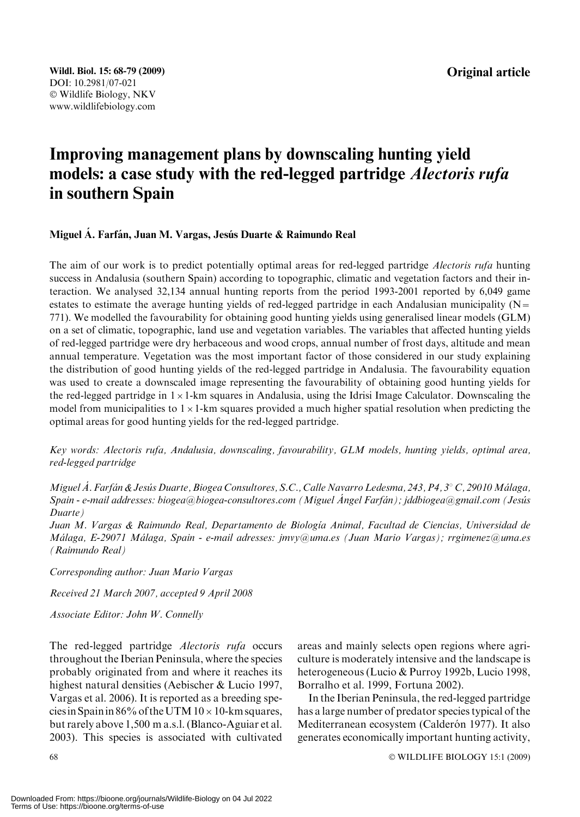Original article

## Improving management plans by downscaling hunting yield models: a case study with the red-legged partridge Alectoris rufa in southern Spain

## Miguel A. Farfán, Juan M. Vargas, Jesús Duarte & Raimundo Real

The aim of our work is to predict potentially optimal areas for red-legged partridge Alectoris rufa hunting success in Andalusia (southern Spain) according to topographic, climatic and vegetation factors and their interaction. We analysed 32,134 annual hunting reports from the period 1993-2001 reported by 6,049 game estates to estimate the average hunting yields of red-legged partridge in each Andalusian municipality ( $N=$ 771). We modelled the favourability for obtaining good hunting yields using generalised linear models (GLM) on a set of climatic, topographic, land use and vegetation variables. The variables that affected hunting yields of red-legged partridge were dry herbaceous and wood crops, annual number of frost days, altitude and mean annual temperature. Vegetation was the most important factor of those considered in our study explaining the distribution of good hunting yields of the red-legged partridge in Andalusia. The favourability equation was used to create a downscaled image representing the favourability of obtaining good hunting yields for the red-legged partridge in  $1 \times 1$ -km squares in Andalusia, using the Idrisi Image Calculator. Downscaling the model from municipalities to  $1 \times 1$ -km squares provided a much higher spatial resolution when predicting the optimal areas for good hunting yields for the red-legged partridge.

Key words: Alectoris rufa, Andalusia, downscaling, favourability, GLM models, hunting yields, optimal area, red-legged partridge

Miguel Á. Farfán & Jesús Duarte, Biogea Consultores, S.C., Calle Navarro Ledesma, 243, P4, 3° C, 29010 Málaga, Spain - e-mail addresses: biogea@biogea-consultores.com (Miguel Ángel Farfán); jddbiogea@gmail.com (Jesús Duarte)

Juan M. Vargas & Raimundo Real, Departamento de Biología Animal, Facultad de Ciencias, Universidad de Málaga, E-29071 Málaga, Spain - e-mail adresses: jmvy@uma.es (Juan Mario Vargas); rrgimenez@uma.es (Raimundo Real)

Corresponding author: Juan Mario Vargas

Received 21 March 2007, accepted 9 April 2008

Associate Editor: John W. Connelly

The red-legged partridge Alectoris rufa occurs throughout the Iberian Peninsula, where the species probably originated from and where it reaches its highest natural densities (Aebischer & Lucio 1997, Vargas et al. 2006). It is reported as a breeding species in Spain in 86% of the UTM  $10 \times 10$ -km squares, but rarely above 1,500 m a.s.l. (Blanco-Aguiar et al. 2003). This species is associated with cultivated

areas and mainly selects open regions where agriculture is moderately intensive and the landscape is heterogeneous (Lucio & Purroy 1992b, Lucio 1998, Borralho et al. 1999, Fortuna 2002).

In the Iberian Peninsula, the red-legged partridge has a large number of predator species typical of the Mediterranean ecosystem (Calderón 1977). It also generates economically important hunting activity,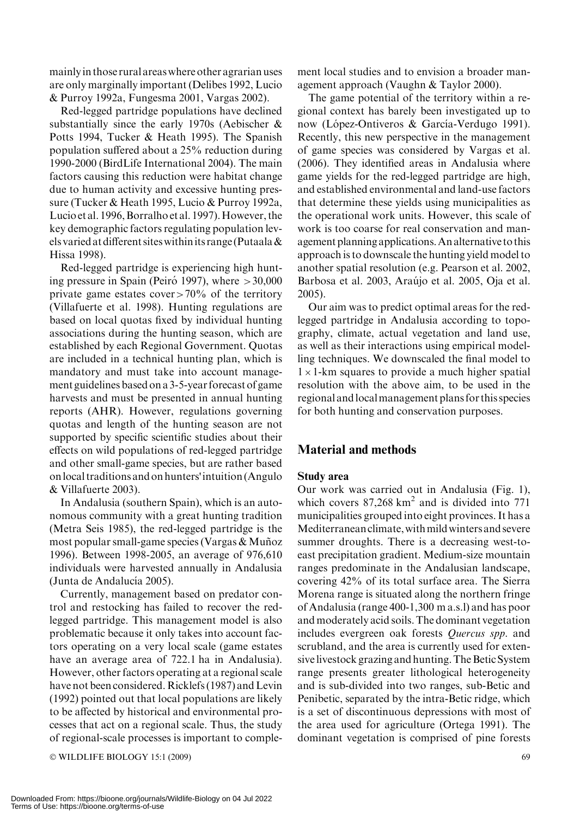mainlyin those rural areas where other agrarian uses are only marginally important (Delibes 1992, Lucio & Purroy 1992a, Fungesma 2001, Vargas 2002).

Red-legged partridge populations have declined substantially since the early 1970s (Aebischer & Potts 1994, Tucker & Heath 1995). The Spanish population suffered about a 25% reduction during 1990-2000 (BirdLife International 2004). The main factors causing this reduction were habitat change due to human activity and excessive hunting pressure (Tucker & Heath 1995, Lucio & Purroy 1992a, Lucio et al. 1996, Borralho et al. 1997). However, the key demographic factors regulating population levels varied at different sites within its range (Putaala  $\&$ Hissa 1998).

Red-legged partridge is experiencing high hunting pressure in Spain (Peiró 1997), where  $>30,000$ private game estates cover $>70\%$  of the territory (Villafuerte et al. 1998). Hunting regulations are based on local quotas fixed by individual hunting associations during the hunting season, which are established by each Regional Government. Quotas are included in a technical hunting plan, which is mandatory and must take into account management guidelines based on a 3-5-year forecast of game harvests and must be presented in annual hunting reports (AHR). However, regulations governing quotas and length of the hunting season are not supported by specific scientific studies about their effects on wild populations of red-legged partridge and other small-game species, but are rather based onlocal traditions and on hunters'intuition (Angulo & Villafuerte 2003).

In Andalusia (southern Spain), which is an autonomous community with a great hunting tradition (Metra Seis 1985), the red-legged partridge is the most popular small-game species (Vargas  $&$  Muñoz 1996). Between 1998-2005, an average of 976,610 individuals were harvested annually in Andalusia (Junta de Andalucía 2005).

Currently, management based on predator control and restocking has failed to recover the redlegged partridge. This management model is also problematic because it only takes into account factors operating on a very local scale (game estates have an average area of 722.1 ha in Andalusia). However, other factors operating at a regional scale have not been considered. Ricklefs (1987) and Levin (1992) pointed out that local populations are likely to be affected by historical and environmental processes that act on a regional scale. Thus, the study of regional-scale processes is important to comple-

 $\odot$  WILDLIFE BIOLOGY 15:1 (2009) 69

ment local studies and to envision a broader management approach (Vaughn & Taylor 2000).

The game potential of the territory within a regional context has barely been investigated up to now (López-Ontiveros & García-Verdugo 1991). Recently, this new perspective in the management of game species was considered by Vargas et al. (2006). They identified areas in Andalusia where game yields for the red-legged partridge are high, and established environmental and land-use factors that determine these yields using municipalities as the operational work units. However, this scale of work is too coarse for real conservation and management planning applications.An alternative to this approach is to downscale the hunting yield model to another spatial resolution (e.g. Pearson et al. 2002, Barbosa et al. 2003, Araújo et al. 2005, Oja et al. 2005).

Our aim was to predict optimal areas for the redlegged partridge in Andalusia according to topography, climate, actual vegetation and land use, as well as their interactions using empirical modelling techniques. We downscaled the final model to  $1 \times 1$ -km squares to provide a much higher spatial resolution with the above aim, to be used in the regional andlocalmanagement plans for this species for both hunting and conservation purposes.

## Material and methods

## Study area

Our work was carried out in Andalusia (Fig. 1), which covers  $87,268$  km<sup>2</sup> and is divided into 771 municipalities grouped into eight provinces. It has a Mediterranean climate,withmildwinters and severe summer droughts. There is a decreasing west-toeast precipitation gradient. Medium-size mountain ranges predominate in the Andalusian landscape, covering 42% of its total surface area. The Sierra Morena range is situated along the northern fringe of Andalusia (range 400-1,300 m a.s.l) and has poor and moderately acid soils. The dominant vegetation includes evergreen oak forests Quercus spp. and scrubland, and the area is currently used for extensive livestock grazing and hunting. The Betic System range presents greater lithological heterogeneity and is sub-divided into two ranges, sub-Betic and Penibetic, separated by the intra-Betic ridge, which is a set of discontinuous depressions with most of the area used for agriculture (Ortega 1991). The dominant vegetation is comprised of pine forests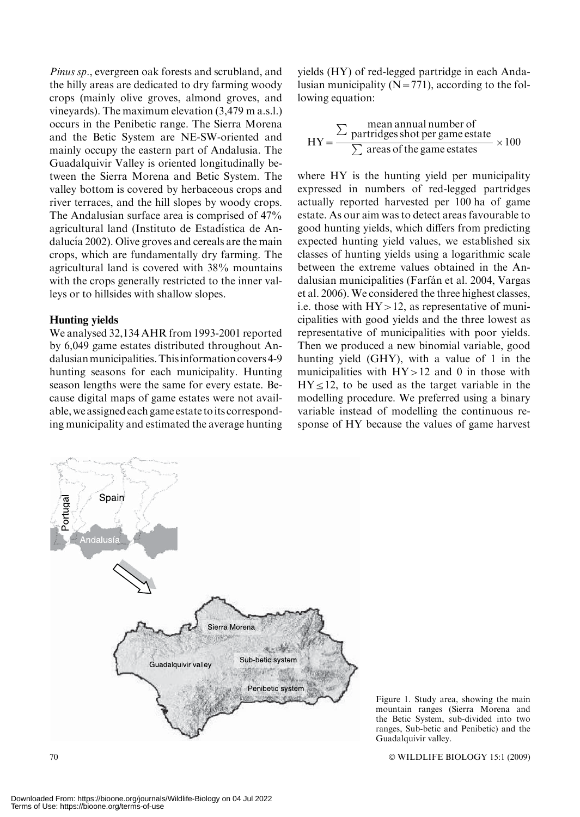Pinus sp., evergreen oak forests and scrubland, and the hilly areas are dedicated to dry farming woody crops (mainly olive groves, almond groves, and vineyards). The maximum elevation (3,479 m a.s.l.) occurs in the Penibetic range. The Sierra Morena and the Betic System are NE-SW-oriented and mainly occupy the eastern part of Andalusia. The Guadalquivir Valley is oriented longitudinally between the Sierra Morena and Betic System. The valley bottom is covered by herbaceous crops and river terraces, and the hill slopes by woody crops. The Andalusian surface area is comprised of 47% agricultural land (Instituto de Estadística de Andalucía 2002). Olive groves and cereals are the main crops, which are fundamentally dry farming. The agricultural land is covered with 38% mountains with the crops generally restricted to the inner valleys or to hillsides with shallow slopes.

#### Hunting yields

We analysed 32,134 AHR from 1993-2001 reported by 6,049 game estates distributed throughout Andalusianmunicipalities.Thisinformation covers 4-9 hunting seasons for each municipality. Hunting season lengths were the same for every estate. Because digital maps of game estates were not available, we assigned each game estate toits corresponding municipality and estimated the average hunting yields (HY) of red-legged partridge in each Andalusian municipality  $(N=771)$ , according to the following equation:

$$
HY = \frac{\sum \text{normal number ofpartridges shot per game estate}}{\sum \text{ areas of the game estates}} \times 100
$$

where HY is the hunting yield per municipality expressed in numbers of red-legged partridges actually reported harvested per 100 ha of game estate. As our aim was to detect areas favourable to good hunting yields, which differs from predicting expected hunting yield values, we established six classes of hunting yields using a logarithmic scale between the extreme values obtained in the Andalusian municipalities (Farfán et al. 2004, Vargas et al. 2006). We considered the three highest classes, i.e. those with  $HY > 12$ , as representative of municipalities with good yields and the three lowest as representative of municipalities with poor yields. Then we produced a new binomial variable, good hunting yield (GHY), with a value of 1 in the municipalities with  $HY > 12$  and 0 in those with  $HY \leq 12$ , to be used as the target variable in the modelling procedure. We preferred using a binary variable instead of modelling the continuous response of HY because the values of game harvest



Figure 1. Study area, showing the main mountain ranges (Sierra Morena and the Betic System, sub-divided into two ranges, Sub-betic and Penibetic) and the Guadalquivir valley.

 $70$   $\degree$ WILDLIFE BIOLOGY 15:1 (2009)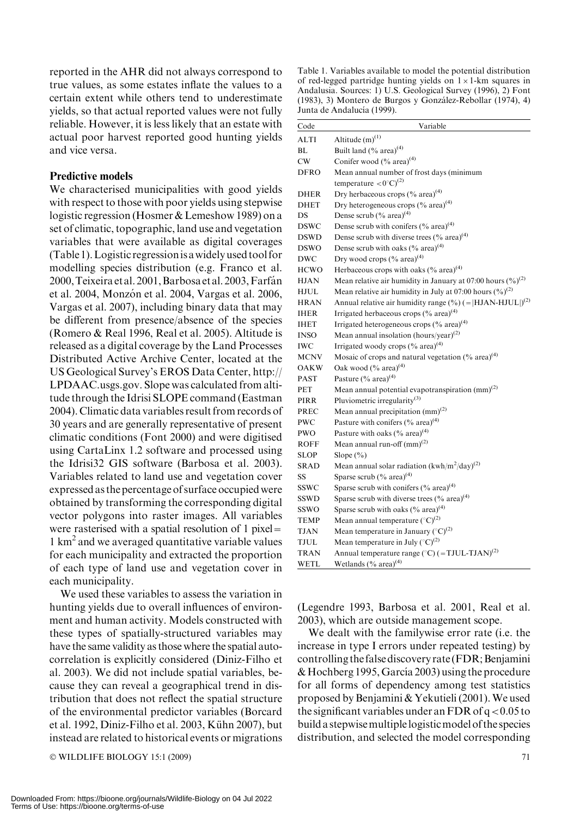reported in the AHR did not always correspond to true values, as some estates inflate the values to a certain extent while others tend to underestimate yields, so that actual reported values were not fully reliable. However, it is less likely that an estate with actual poor harvest reported good hunting yields and vice versa.

## Predictive models

We characterised municipalities with good yields with respect to those with poor yields using stepwise logistic regression (Hosmer & Lemeshow 1989) on a set of climatic, topographic, land use and vegetation variables that were available as digital coverages (Table 1).Logistic regressionis awidely used tool for modelling species distribution (e.g. Franco et al. 2000, Teixeira et al. 2001, Barbosa et al. 2003, Farfán et al. 2004, Monzón et al. 2004, Vargas et al. 2006, Vargas et al. 2007), including binary data that may be different from presence/absence of the species (Romero & Real 1996, Real et al. 2005). Altitude is released as a digital coverage by the Land Processes Distributed Active Archive Center, located at the US Geological Survey's EROS Data Center, http:// LPDAAC.usgs.gov. Slope was calculated from altitude through the Idrisi SLOPE command (Eastman 2004). Climatic data variables result from records of 30 years and are generally representative of present climatic conditions (Font 2000) and were digitised using CartaLinx 1.2 software and processed using the Idrisi32 GIS software (Barbosa et al. 2003). Variables related to land use and vegetation cover expressed as the percentage of surface occupied were obtained by transforming the corresponding digital vector polygons into raster images. All variables were rasterised with a spatial resolution of 1 pixel= 1 km2 and we averaged quantitative variable values for each municipality and extracted the proportion of each type of land use and vegetation cover in each municipality.

We used these variables to assess the variation in hunting yields due to overall influences of environment and human activity. Models constructed with these types of spatially-structured variables may have the same validity as those where the spatial autocorrelation is explicitly considered (Diniz-Filho et al. 2003). We did not include spatial variables, because they can reveal a geographical trend in distribution that does not reflect the spatial structure of the environmental predictor variables (Borcard et al. 1992, Diniz-Filho et al. 2003, Kühn 2007), but instead are related to historical events or migrations

 $\odot$  WILDLIFE BIOLOGY 15:1 (2009)  $\qquad \qquad$  71

Table 1. Variables available to model the potential distribution of red-legged partridge hunting yields on  $1 \times 1$ -km squares in Andalusia. Sources: 1) U.S. Geological Survey (1996), 2) Font (1983), 3) Montero de Burgos y González-Rebollar (1974), 4) Junta de Andalucía (1999).

| Code        | Variable                                                                |  |  |  |  |
|-------------|-------------------------------------------------------------------------|--|--|--|--|
| ALTI        | Altitude $(m)^{(1)}$                                                    |  |  |  |  |
| BL          | Built land $(\%$ area) <sup>(4)</sup>                                   |  |  |  |  |
| CW          | Conifer wood $(\%$ area) <sup>(4)</sup>                                 |  |  |  |  |
| DFRO        | Mean annual number of frost days (minimum                               |  |  |  |  |
|             | temperature $\langle 0$ °C $\rangle$ <sup>(2)</sup>                     |  |  |  |  |
| <b>DHER</b> | Dry herbaceous crops $(\%$ area) <sup>(4)</sup>                         |  |  |  |  |
| <b>DHET</b> | Dry heterogeneous crops $(^{0}_{0}$ area) <sup>(4)</sup>                |  |  |  |  |
| DS          | Dense scrub $(\%$ area) <sup>(4)</sup>                                  |  |  |  |  |
| DSWC        | Dense scrub with conifers $(\%$ area) <sup>(4)</sup>                    |  |  |  |  |
| <b>DSWD</b> | Dense scrub with diverse trees $(\%$ area) <sup>(4)</sup>               |  |  |  |  |
| DSWO        | Dense scrub with oaks $(^{0}\!/_{0}$ area) <sup>(4)</sup>               |  |  |  |  |
| DWC         | Dry wood crops (% area) <sup>(4)</sup>                                  |  |  |  |  |
| <b>HCWO</b> | Herbaceous crops with oaks $(\%$ area) <sup>(4)</sup>                   |  |  |  |  |
| HJAN        | Mean relative air humidity in January at 07:00 hours $(\%)^{(2)}$       |  |  |  |  |
| HJUL        | Mean relative air humidity in July at 07:00 hours $(\frac{6}{6})^{(2)}$ |  |  |  |  |
| <b>HRAN</b> | Annual relative air humidity range $(\%)(= HJAN-HJUL )^{(2)}$           |  |  |  |  |
| <b>IHER</b> | Irrigated herbaceous crops $(\%$ area) <sup>(4)</sup>                   |  |  |  |  |
| <b>IHET</b> | Irrigated heterogeneous crops $(\%$ area) <sup>(4)</sup>                |  |  |  |  |
| <b>INSO</b> | Mean annual insolation (hours/year) <sup>(2)</sup>                      |  |  |  |  |
| IWC         | Irrigated woody crops $(\%$ area) <sup>(4)</sup>                        |  |  |  |  |
| <b>MCNV</b> | Mosaic of crops and natural vegetation (% area) <sup>(4)</sup>          |  |  |  |  |
| OAKW        | Oak wood $(\%$ area) <sup>(4)</sup>                                     |  |  |  |  |
| PAST        | Pasture $(\%$ area) <sup>(4)</sup>                                      |  |  |  |  |
| PET         | Mean annual potential evapotranspiration (mm) <sup>(2)</sup>            |  |  |  |  |
| PIRR        | Pluviometric irregularity <sup>(3)</sup>                                |  |  |  |  |
| PREC        | Mean annual precipitation $(mm)^{(2)}$                                  |  |  |  |  |
| PWC         | Pasture with conifers $(\%$ area) <sup>(4)</sup>                        |  |  |  |  |
| PWO         | Pasture with oaks $(\%$ area) <sup>(4)</sup>                            |  |  |  |  |
| ROFF        | Mean annual run-off $(mm)^{(2)}$                                        |  |  |  |  |
| <b>SLOP</b> | Slope $(\% )$                                                           |  |  |  |  |
| <b>SRAD</b> | Mean annual solar radiation $(kwh/m^2/day)^{(2)}$                       |  |  |  |  |
| SS          | Sparse scrub $(\%$ area) <sup>(4)</sup>                                 |  |  |  |  |
| SSWC        | Sparse scrub with conifers $(\%$ area) <sup>(4)</sup>                   |  |  |  |  |
| SSWD        | Sparse scrub with diverse trees (% area) <sup>(4)</sup>                 |  |  |  |  |
| SSWO        | Sparse scrub with oaks $(\%$ area) <sup>(4)</sup>                       |  |  |  |  |
| TEMP        | Mean annual temperature $({}^{\circ}C)^{(2)}$                           |  |  |  |  |
| TJAN        | Mean temperature in January $({}^{\circ}C)^{(2)}$                       |  |  |  |  |
| TJUL        | Mean temperature in July $({}^{\circ}C)^{(2)}$                          |  |  |  |  |
| <b>TRAN</b> | Annual temperature range ( $^{\circ}$ C) (=TJUL-TJAN) <sup>(2)</sup>    |  |  |  |  |
| WETL        | Wetlands (% area) <sup>(4)</sup>                                        |  |  |  |  |

(Legendre 1993, Barbosa et al. 2001, Real et al. 2003), which are outside management scope.

We dealt with the familywise error rate (i.e. the increase in type I errors under repeated testing) by controlling the false discovery rate (FDR; Benjamini  $&$  Hochberg 1995, García 2003) using the procedure for all forms of dependency among test statistics proposed by Benjamini & Yekutieli (2001).We used the significant variables under an FDR of  $q < 0.05$  to build a stepwisemultiplelogisticmodel of the species distribution, and selected the model corresponding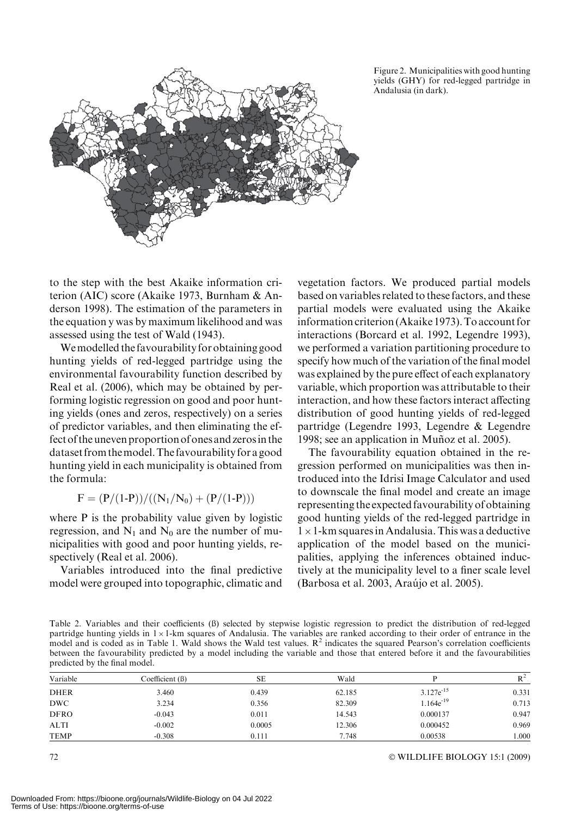Figure 2. Municipalities with good hunting yields (GHY) for red-legged partridge in Andalusia (in dark).



to the step with the best Akaike information criterion (AIC) score (Akaike 1973, Burnham & Anderson 1998). The estimation of the parameters in the equation y was by maximum likelihood and was assessed using the test of Wald (1943).

Wemodelled the favourability for obtaining good hunting yields of red-legged partridge using the environmental favourability function described by Real et al. (2006), which may be obtained by performing logistic regression on good and poor hunting yields (ones and zeros, respectively) on a series of predictor variables, and then eliminating the effect of the uneven proportion of ones and zerosin the dataset from themodel.The favourability for a good hunting yield in each municipality is obtained from the formula:

$$
F = (P/(1-P))/((N_1/N_0) + (P/(1-P)))
$$

where P is the probability value given by logistic regression, and  $N_1$  and  $N_0$  are the number of municipalities with good and poor hunting yields, respectively (Real et al. 2006).

Variables introduced into the final predictive model were grouped into topographic, climatic and vegetation factors. We produced partial models based on variables related to these factors, and these partial models were evaluated using the Akaike information criterion (Akaike 1973). To account for interactions (Borcard et al. 1992, Legendre 1993), we performed a variation partitioning procedure to specify how much of the variation of the final model was explained by the pure effect of each explanatory variable, which proportion was attributable to their interaction, and how these factors interact affecting distribution of good hunting yields of red-legged partridge (Legendre 1993, Legendre & Legendre 1998; see an application in Muñoz et al. 2005).

The favourability equation obtained in the regression performed on municipalities was then introduced into the Idrisi Image Calculator and used to downscale the final model and create an image representing the expected favourability of obtaining good hunting yields of the red-legged partridge in  $1 \times 1$ -km squares in Andalusia. This was a deductive application of the model based on the municipalities, applying the inferences obtained inductively at the municipality level to a finer scale level (Barbosa et al. 2003, Arau´jo et al. 2005).

Table 2. Variables and their coefficients (ß) selected by stepwise logistic regression to predict the distribution of red-legged partridge hunting yields in  $1 \times 1$ -km squares of Andalusia. The variables are ranked according to their order of entrance in the model and is coded as in Table 1. Wald shows the Wald test values.  $R<sup>2</sup>$  indicates the squared Pearson's correlation coefficients between the favourability predicted by a model including the variable and those that entered before it and the favourabilities predicted by the final model.

| Variable    | Coefficient (B) | SЕ     | Wald   |                | $R^2$ |
|-------------|-----------------|--------|--------|----------------|-------|
| <b>DHER</b> | 3.460           | 0.439  | 62.185 | $3.127e^{-15}$ | 0.331 |
| DWC         | 3.234           | 0.356  | 82.309 | $1.164e^{-19}$ | 0.713 |
| <b>DFRO</b> | $-0.043$        | 0.011  | 14.543 | 0.000137       | 0.947 |
| <b>ALTI</b> | $-0.002$        | 0.0005 | 12.306 | 0.000452       | 0.969 |
| TEMP        | $-0.308$        | 0.111  | 7.748  | 0.00538        | 000.1 |

 $72$   $\circ$ WILDLIFE BIOLOGY 15:1 (2009)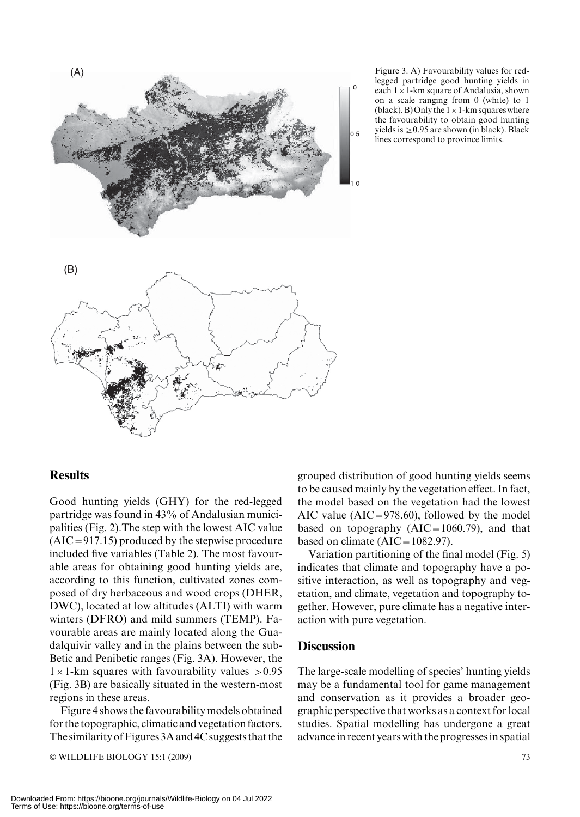

Figure 3. A) Favourability values for redlegged partridge good hunting yields in each  $1 \times 1$ -km square of Andalusia, shown on a scale ranging from 0 (white) to 1 (black). B) Only the  $1 \times 1$ -km squares where the favourability to obtain good hunting yields is  $\geq$  0.95 are shown (in black). Black lines correspond to province limits.

## Results

Good hunting yields (GHY) for the red-legged partridge was found in 43% of Andalusian municipalities (Fig. 2).The step with the lowest AIC value  $(AIC = 917.15)$  produced by the stepwise procedure included five variables (Table 2). The most favourable areas for obtaining good hunting yields are, according to this function, cultivated zones composed of dry herbaceous and wood crops (DHER, DWC), located at low altitudes (ALTI) with warm winters (DFRO) and mild summers (TEMP). Favourable areas are mainly located along the Guadalquivir valley and in the plains between the sub-Betic and Penibetic ranges (Fig. 3A). However, the  $1 \times 1$ -km squares with favourability values  $> 0.95$ (Fig. 3B) are basically situated in the western-most regions in these areas.

Figure 4 shows the favourability models obtained for the topographic, climatic and vegetation factors. The similarity of Figures 3A and 4C suggests that the

© WILDLIFE BIOLOGY 15:1 (2009) 73

grouped distribution of good hunting yields seems to be caused mainly by the vegetation effect. In fact, the model based on the vegetation had the lowest AIC value ( $AIC = 978.60$ ), followed by the model based on topography  $(AIC=1060.79)$ , and that based on climate  $(AIC = 1082.97)$ .

Variation partitioning of the final model (Fig. 5) indicates that climate and topography have a positive interaction, as well as topography and vegetation, and climate, vegetation and topography together. However, pure climate has a negative interaction with pure vegetation.

## **Discussion**

The large-scale modelling of species' hunting yields may be a fundamental tool for game management and conservation as it provides a broader geographic perspective that works as a context for local studies. Spatial modelling has undergone a great advance in recent years with the progresses in spatial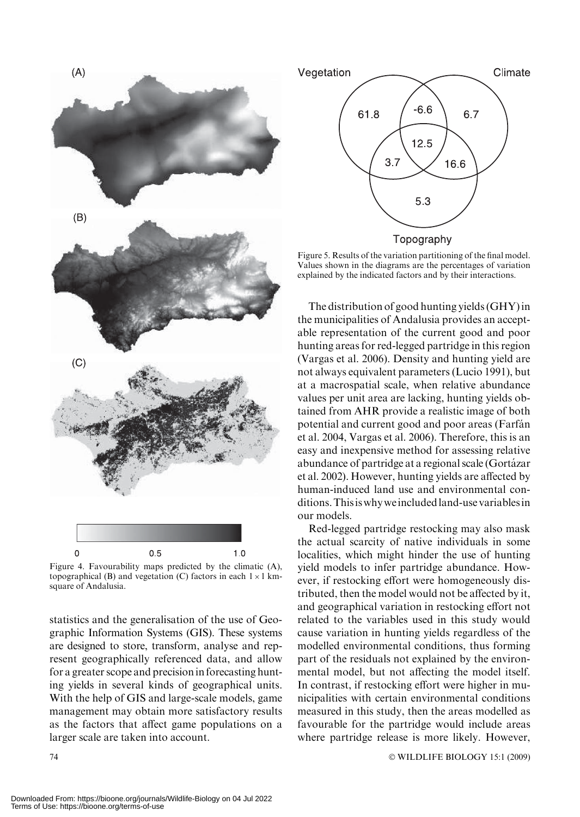

Figure 4. Favourability maps predicted by the climatic (A), topographical (B) and vegetation (C) factors in each  $1 \times 1$  kmsquare of Andalusia.

statistics and the generalisation of the use of Geographic Information Systems (GIS). These systems are designed to store, transform, analyse and represent geographically referenced data, and allow for a greater scope and precision in forecasting hunting yields in several kinds of geographical units. With the help of GIS and large-scale models, game management may obtain more satisfactory results as the factors that affect game populations on a larger scale are taken into account.



Figure 5. Results of the variation partitioning of the final model. Values shown in the diagrams are the percentages of variation explained by the indicated factors and by their interactions.

The distribution of good hunting yields (GHY) in the municipalities of Andalusia provides an acceptable representation of the current good and poor hunting areas for red-legged partridge in this region (Vargas et al. 2006). Density and hunting yield are not always equivalent parameters (Lucio 1991), but at a macrospatial scale, when relative abundance values per unit area are lacking, hunting yields obtained from AHR provide a realistic image of both potential and current good and poor areas (Farfán et al. 2004, Vargas et al. 2006). Therefore, this is an easy and inexpensive method for assessing relative abundance of partridge at a regional scale (Gortázar et al. 2002). However, hunting yields are affected by human-induced land use and environmental conditions.Thisiswhyweincludedland-use variablesin our models.

Red-legged partridge restocking may also mask the actual scarcity of native individuals in some localities, which might hinder the use of hunting yield models to infer partridge abundance. However, if restocking effort were homogeneously distributed, then the model would not be affected by it, and geographical variation in restocking effort not related to the variables used in this study would cause variation in hunting yields regardless of the modelled environmental conditions, thus forming part of the residuals not explained by the environmental model, but not affecting the model itself. In contrast, if restocking effort were higher in municipalities with certain environmental conditions measured in this study, then the areas modelled as favourable for the partridge would include areas where partridge release is more likely. However,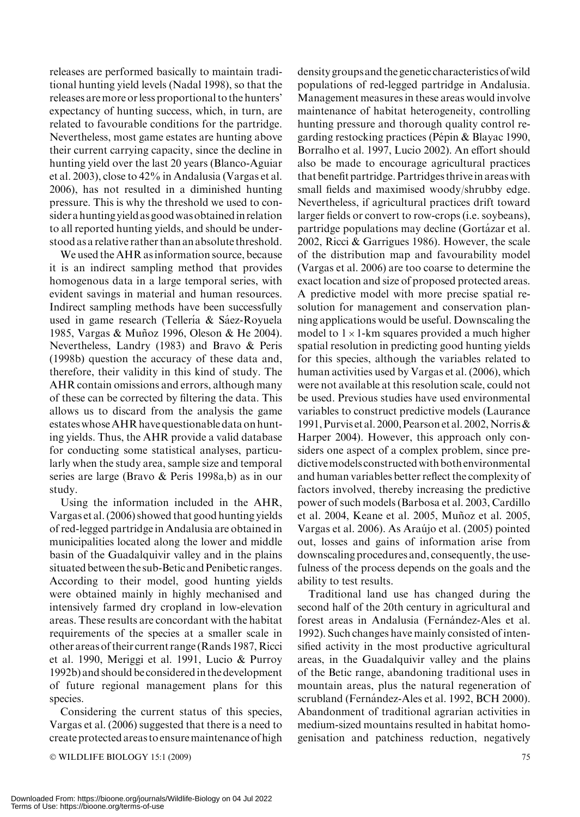releases are performed basically to maintain traditional hunting yield levels (Nadal 1998), so that the releases aremore or less proportional to the hunters' expectancy of hunting success, which, in turn, are related to favourable conditions for the partridge. Nevertheless, most game estates are hunting above their current carrying capacity, since the decline in hunting yield over the last 20 years (Blanco-Aguiar et al. 2003), close to 42% in Andalusia (Vargas et al. 2006), has not resulted in a diminished hunting pressure. This is why the threshold we used to consider a hunting yield as goodwasobtainedin relation to all reported hunting yields, and should be understood as a relative rather than an absolute threshold.

We used the AHR as information source, because it is an indirect sampling method that provides homogenous data in a large temporal series, with evident savings in material and human resources. Indirect sampling methods have been successfully used in game research (Tellería & Sáez-Royuela 1985, Vargas & Muñoz 1996, Oleson & He 2004). Nevertheless, Landry (1983) and Bravo & Peris (1998b) question the accuracy of these data and, therefore, their validity in this kind of study. The AHR contain omissions and errors, although many of these can be corrected by filtering the data. This allows us to discard from the analysis the game estates whoseAHR have questionable data on hunting yields. Thus, the AHR provide a valid database for conducting some statistical analyses, particularly when the study area, sample size and temporal series are large (Bravo & Peris 1998a,b) as in our study.

Using the information included in the AHR, Vargas et al. (2006) showed that good hunting yields of red-legged partridge in Andalusia are obtained in municipalities located along the lower and middle basin of the Guadalquivir valley and in the plains situated between the sub-Betic and Penibetic ranges. According to their model, good hunting yields were obtained mainly in highly mechanised and intensively farmed dry cropland in low-elevation areas. These results are concordant with the habitat requirements of the species at a smaller scale in other areas of their current range (Rands 1987, Ricci et al. 1990, Meriggi et al. 1991, Lucio & Purroy 1992b) and should be considered in the development of future regional management plans for this species.

Considering the current status of this species, Vargas et al. (2006) suggested that there is a need to create protected areas to ensuremaintenance of high

© WILDLIFE BIOLOGY 15:1 (2009) 75

density groups and the genetic characteristics ofwild populations of red-legged partridge in Andalusia. Management measures in these areas would involve maintenance of habitat heterogeneity, controlling hunting pressure and thorough quality control regarding restocking practices (Pépin & Blayac 1990, Borralho et al. 1997, Lucio 2002). An effort should also be made to encourage agricultural practices that benefit partridge. Partridges thrive in areas with small fields and maximised woody/shrubby edge. Nevertheless, if agricultural practices drift toward larger fields or convert to row-crops (i.e. soybeans), partridge populations may decline (Gortázar et al. 2002, Ricci & Garrigues 1986). However, the scale of the distribution map and favourability model (Vargas et al. 2006) are too coarse to determine the exact location and size of proposed protected areas. A predictive model with more precise spatial resolution for management and conservation planning applications would be useful. Downscaling the model to  $1 \times 1$ -km squares provided a much higher spatial resolution in predicting good hunting yields for this species, although the variables related to human activities used by Vargas et al. (2006), which were not available at this resolution scale, could not be used. Previous studies have used environmental variables to construct predictive models (Laurance 1991, Purvis et al. 2000, Pearson et al. 2002, Norris & Harper 2004). However, this approach only considers one aspect of a complex problem, since predictivemodels constructed with both environmental and human variables better reflect the complexity of factors involved, thereby increasing the predictive power of such models (Barbosa et al. 2003, Cardillo et al. 2004, Keane et al. 2005, Muñoz et al. 2005, Vargas et al. 2006). As Araújo et al. (2005) pointed out, losses and gains of information arise from downscaling procedures and, consequently, the usefulness of the process depends on the goals and the ability to test results.

Traditional land use has changed during the second half of the 20th century in agricultural and forest areas in Andalusia (Fernández-Ales et al. 1992). Such changes have mainly consisted of intensified activity in the most productive agricultural areas, in the Guadalquivir valley and the plains of the Betic range, abandoning traditional uses in mountain areas, plus the natural regeneration of scrubland (Fernández-Ales et al. 1992, BCH 2000). Abandonment of traditional agrarian activities in medium-sized mountains resulted in habitat homogenisation and patchiness reduction, negatively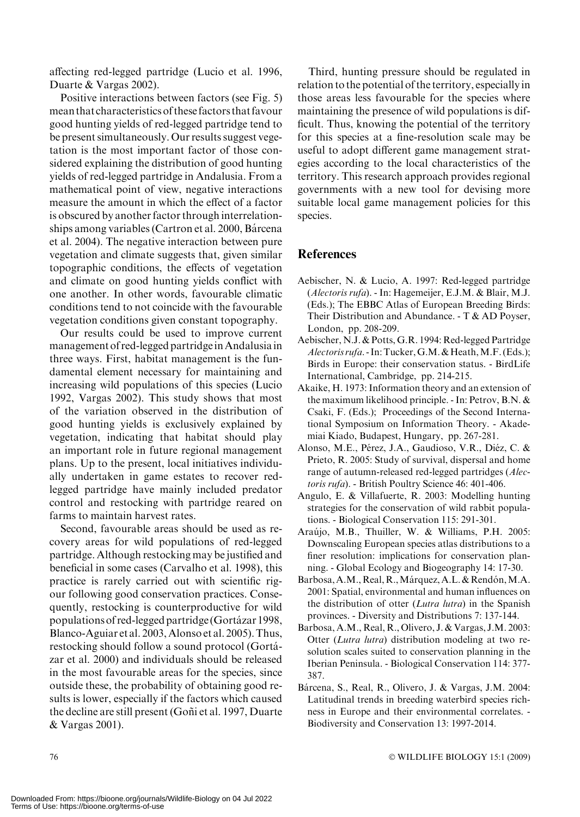affecting red-legged partridge (Lucio et al. 1996, Duarte & Vargas 2002).

Positive interactions between factors (see Fig. 5) mean that characteristics of these factors that favour good hunting yields of red-legged partridge tend to be present simultaneously. Our results suggest vegetation is the most important factor of those considered explaining the distribution of good hunting yields of red-legged partridge in Andalusia. From a mathematical point of view, negative interactions measure the amount in which the effect of a factor is obscured by another factor through interrelationships among variables (Cartron et al. 2000, Bárcena et al. 2004). The negative interaction between pure vegetation and climate suggests that, given similar topographic conditions, the effects of vegetation and climate on good hunting yields conflict with one another. In other words, favourable climatic conditions tend to not coincide with the favourable vegetation conditions given constant topography.

Our results could be used to improve current management of red-legged partridgeinAndalusiain three ways. First, habitat management is the fundamental element necessary for maintaining and increasing wild populations of this species (Lucio 1992, Vargas 2002). This study shows that most of the variation observed in the distribution of good hunting yields is exclusively explained by vegetation, indicating that habitat should play an important role in future regional management plans. Up to the present, local initiatives individually undertaken in game estates to recover redlegged partridge have mainly included predator control and restocking with partridge reared on farms to maintain harvest rates.

Second, favourable areas should be used as recovery areas for wild populations of red-legged partridge. Although restocking may be justified and beneficial in some cases (Carvalho et al. 1998), this practice is rarely carried out with scientific rigour following good conservation practices. Consequently, restocking is counterproductive for wild populations of red-legged partridge (Gortázar 1998, Blanco-Aguiar et al. 2003, Alonso et al. 2005). Thus, restocking should follow a sound protocol (Gorta´ zar et al. 2000) and individuals should be released in the most favourable areas for the species, since outside these, the probability of obtaining good results is lower, especially if the factors which caused the decline are still present (Goñi et al. 1997, Duarte & Vargas 2001).

Third, hunting pressure should be regulated in relation to the potential of the territory, especially in those areas less favourable for the species where maintaining the presence of wild populations is difficult. Thus, knowing the potential of the territory for this species at a fine-resolution scale may be useful to adopt different game management strategies according to the local characteristics of the territory. This research approach provides regional governments with a new tool for devising more suitable local game management policies for this species.

## **References**

- Aebischer, N. & Lucio, A. 1997: Red-legged partridge (Alectoris rufa). - In: Hagemeijer, E.J.M. & Blair, M.J. (Eds.); The EBBC Atlas of European Breeding Birds: Their Distribution and Abundance. - T & AD Poyser, London, pp. 208-209.
- Aebischer, N.J. & Potts, G.R. 1994: Red-legged Partridge Alectoris rufa. - In: Tucker, G.M. & Heath, M.F. (Eds.); Birds in Europe: their conservation status. - BirdLife International, Cambridge, pp. 214-215.
- Akaike, H. 1973: Information theory and an extension of the maximum likelihood principle. - In: Petrov, B.N. & Csaki, F. (Eds.); Proceedings of the Second International Symposium on Information Theory. - Akademiai Kiado, Budapest, Hungary, pp. 267-281.
- Alonso, M.E., Pérez, J.A., Gaudioso, V.R., Diéz, C. & Prieto, R. 2005: Study of survival, dispersal and home range of autumn-released red-legged partridges (Alectoris rufa). - British Poultry Science 46: 401-406.
- Angulo, E. & Villafuerte, R. 2003: Modelling hunting strategies for the conservation of wild rabbit populations. - Biological Conservation 115: 291-301.
- Araújo, M.B., Thuiller, W. & Williams, P.H. 2005: Downscaling European species atlas distributions to a finer resolution: implications for conservation planning. - Global Ecology and Biogeography 14: 17-30.
- Barbosa, A.M., Real, R., Márquez, A.L. & Rendón, M.A. 2001: Spatial, environmental and human influences on the distribution of otter (Lutra lutra) in the Spanish provinces. - Diversity and Distributions 7: 137-144.
- Barbosa, A.M., Real, R., Olivero, J. & Vargas, J.M. 2003: Otter (Lutra lutra) distribution modeling at two resolution scales suited to conservation planning in the Iberian Peninsula. - Biological Conservation 114: 377- 387.
- Bárcena, S., Real, R., Olivero, J. & Vargas, J.M. 2004: Latitudinal trends in breeding waterbird species richness in Europe and their environmental correlates. - Biodiversity and Conservation 13: 1997-2014.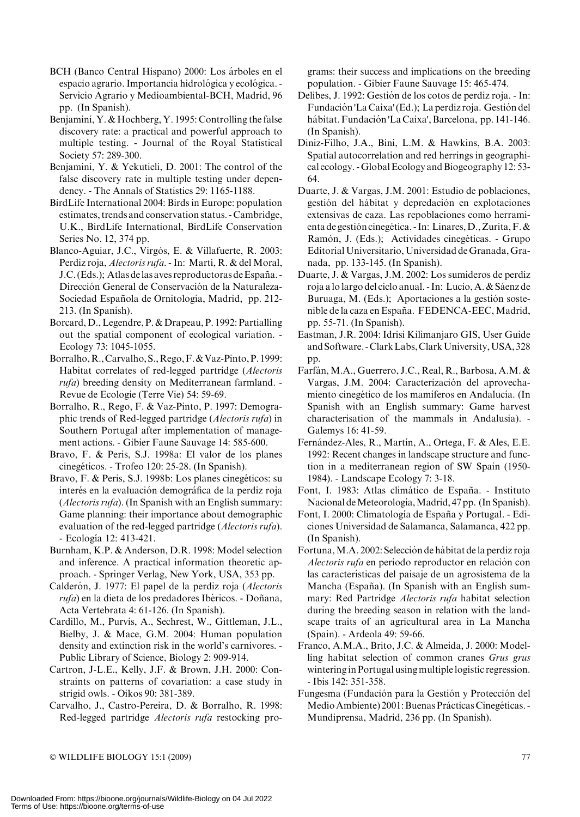- BCH (Banco Central Hispano) 2000: Los árboles en el espacio agrario. Importancia hidrológica y ecológica. -Servicio Agrario y Medioambiental-BCH, Madrid, 96 pp. (In Spanish).
- Benjamini, Y. & Hochberg, Y. 1995: Controlling the false discovery rate: a practical and powerful approach to multiple testing. - Journal of the Royal Statistical Society 57: 289-300.
- Benjamini, Y. & Yekutieli, D. 2001: The control of the false discovery rate in multiple testing under dependency. - The Annals of Statistics 29: 1165-1188.
- BirdLife International 2004: Birds in Europe: population estimates, trends and conservation status. - Cambridge, U.K., BirdLife International, BirdLife Conservation Series No. 12, 374 pp.
- Blanco-Aguiar, J.C., Virgós, E. & Villafuerte, R. 2003: Perdiz roja, Alectoris rufa. - In: Martí, R. & del Moral, J.C. (Eds.): Atlas de las aves reproductoras de España. -Dirección General de Conservación de la Naturaleza-Sociedad Española de Ornitología, Madrid, pp. 212-213. (In Spanish).
- Borcard, D., Legendre, P. & Drapeau, P. 1992: Partialling out the spatial component of ecological variation. - Ecology 73: 1045-1055.
- Borralho, R., Carvalho, S., Rego, F. & Vaz-Pinto, P. 1999: Habitat correlates of red-legged partridge (Alectoris rufa) breeding density on Mediterranean farmland. - Revue de Ecologie (Terre Vie) 54: 59-69.
- Borralho, R., Rego, F. & Vaz-Pinto, P. 1997: Demographic trends of Red-legged partridge (Alectoris rufa) in Southern Portugal after implementation of management actions. - Gibier Faune Sauvage 14: 585-600.
- Bravo, F. & Peris, S.J. 1998a: El valor de los planes cinegéticos. - Trofeo 120: 25-28. (In Spanish).
- Bravo, F. & Peris, S.J. 1998b: Los planes cinegéticos: su interés en la evaluación demográfica de la perdiz roja (Alectoris rufa). (In Spanish with an English summary: Game planning: their importance about demographic evaluation of the red-legged partridge (Alectoris rufa). - Ecología 12: 413-421.
- Burnham, K.P. & Anderson, D.R. 1998: Model selection and inference. A practical information theoretic approach. - Springer Verlag, New York, USA, 353 pp.
- Calderón, J. 1977: El papel de la perdiz roja (Alectoris rufa) en la dieta de los predadores Ibéricos. - Doñana, Acta Vertebrata 4: 61-126. (In Spanish).
- Cardillo, M., Purvis, A., Sechrest, W., Gittleman, J.L., Bielby, J. & Mace, G.M. 2004: Human population density and extinction risk in the world's carnivores. - Public Library of Science, Biology 2: 909-914.
- Cartron, J-L.E., Kelly, J.F. & Brown, J.H. 2000: Constraints on patterns of covariation: a case study in strigid owls. - Oikos 90: 381-389.
- Carvalho, J., Castro-Pereira, D. & Borralho, R. 1998: Red-legged partridge Alectoris rufa restocking pro-

grams: their success and implications on the breeding population. - Gibier Faune Sauvage 15: 465-474.

- Delibes, J. 1992: Gestión de los cotos de perdiz roja. In: Fundación 'La Caixa'(Ed.); La perdiz roja. Gestión del hábitat. Fundación 'La Caixa', Barcelona, pp. 141-146. (In Spanish).
- Diniz-Filho, J.A., Bini, L.M. & Hawkins, B.A. 2003: Spatial autocorrelation and red herrings in geographical ecology. - Global Ecology and Biogeography 12: 53- 64.
- Duarte, J. & Vargas, J.M. 2001: Estudio de poblaciones, gestión del hábitat y depredación en explotaciones extensivas de caza. Las repoblaciones como herramienta de gestión cinegética. - In: Linares, D., Zurita, F. & Ramón, J. (Eds.); Actividades cinegéticas. - Grupo Editorial Universitario, Universidad deGranada, Granada, pp. 133-145. (In Spanish).
- Duarte, J. & Vargas, J.M. 2002: Los sumideros de perdiz roja a lo largo del ciclo anual. - In: Lucio, A. & Sáenz de Buruaga, M. (Eds.); Aportaciones a la gestión sostenible de la caza en España. FEDENCA-EEC, Madrid, pp. 55-71. (In Spanish).
- Eastman, J.R. 2004: Idrisi Kilimanjaro GIS, User Guide and Software. -ClarkLabs,ClarkUniversity,USA, 328 pp.
- Farfán, M.A., Guerrero, J.C., Real, R., Barbosa, A.M. & Vargas, J.M. 2004: Caracterización del aprovechamiento cinegético de los mamíferos en Andalucía. (In Spanish with an English summary: Game harvest characterisation of the mammals in Andalusia). - Galemys 16: 41-59.
- Fernández-Ales, R., Martín, A., Ortega, F. & Ales, E.E. 1992: Recent changes in landscape structure and function in a mediterranean region of SW Spain (1950- 1984). - Landscape Ecology 7: 3-18.
- Font, I. 1983: Atlas climático de España. Instituto Nacional de Meteorología, Madrid, 47 pp. (In Spanish).
- Font, I. 2000: Climatología de España y Portugal. Ediciones Universidad de Salamanca, Salamanca, 422 pp. (In Spanish).
- Fortuna, M.A. 2002: Selección de hábitat de la perdiz roja Alectoris rufa en periodo reproductor en relación con las características del paisaje de un agrosistema de la Mancha (España). (In Spanish with an English summary: Red Partridge Alectoris rufa habitat selection during the breeding season in relation with the landscape traits of an agricultural area in La Mancha (Spain). - Ardeola 49: 59-66.
- Franco, A.M.A., Brito, J.C. & Almeida, J. 2000: Modelling habitat selection of common cranes Grus grus wintering in Portugal using multiple logistic regression. - Ibis 142: 351-358.
- Fungesma (Fundación para la Gestión y Protección del Medio Ambiente) 2001: Buenas Prácticas Cinegéticas. -Mundiprensa, Madrid, 236 pp. (In Spanish).

- WILDLIFE BIOLOGY 15:1 (2009) 77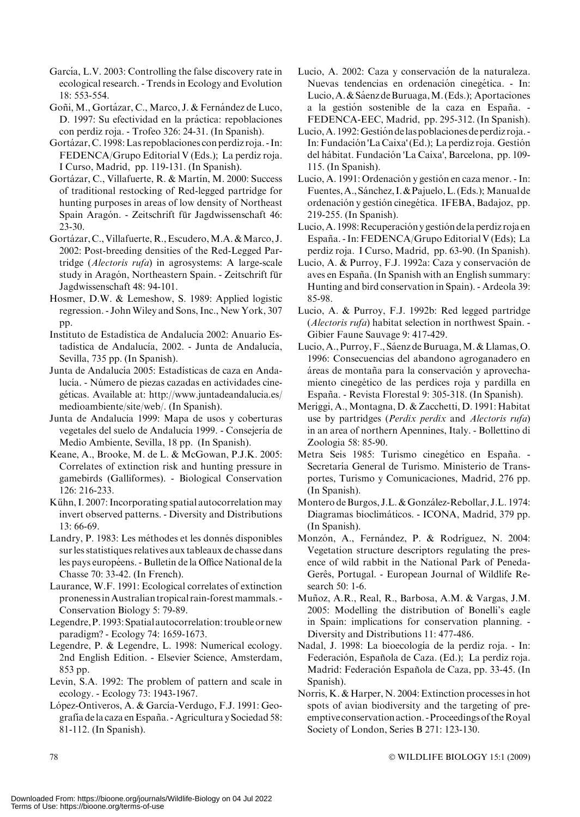- García, L.V. 2003: Controlling the false discovery rate in ecological research. - Trends in Ecology and Evolution 18: 553-554.
- Goñi, M., Gortázar, C., Marco, J. & Fernández de Luco, D. 1997: Su efectividad en la práctica: repoblaciones con perdiz roja. - Trofeo 326: 24-31. (In Spanish).
- Gortázar, C. 1998: Las repoblaciones con perdiz roja. In: FEDENCA/Grupo Editorial V (Eds.); La perdiz roja. I Curso, Madrid, pp. 119-131. (In Spanish).
- Gortázar, C., Villafuerte, R. & Martín, M. 2000: Success of traditional restocking of Red-legged partridge for hunting purposes in areas of low density of Northeast Spain Aragón. - Zeitschrift für Jagdwissenschaft 46: 23-30.
- Gortázar, C., Villafuerte, R., Escudero, M.A. & Marco, J. 2002: Post-breeding densities of the Red-Legged Partridge (Alectoris rufa) in agrosystems: A large-scale study in Aragón, Northeastern Spain. - Zeitschrift für Jagdwissenschaft 48: 94-101.
- Hosmer, D.W. & Lemeshow, S. 1989: Applied logistic regression. - JohnWiley and Sons, Inc., New York, 307 pp.
- Instituto de Estadística de Andalucía 2002: Anuario Estadística de Andalucía, 2002. - Junta de Andalucía, Sevilla, 735 pp. (In Spanish).
- Junta de Andalucía 2005: Estadísticas de caza en Andalucía. - Número de piezas cazadas en actividades cinegéticas. Available at: http://www.juntadeandalucia.es/ medioambiente/site/web/. (In Spanish).
- Junta de Andalucía 1999: Mapa de usos y coberturas vegetales del suelo de Andalucía 1999. - Consejería de Medio Ambiente, Sevilla, 18 pp. (In Spanish).
- Keane, A., Brooke, M. de L. & McGowan, P.J.K. 2005: Correlates of extinction risk and hunting pressure in gamebirds (Galliformes). - Biological Conservation 126: 216-233.
- Kühn, I. 2007: Incorporating spatial autocorrelation may invert observed patterns. - Diversity and Distributions 13: 66-69.
- Landry, P. 1983: Les méthodes et les donnés disponibles sur les statistiques relatives aux tableaux de chasse dans les pays européens. - Bulletin de la Office National de la Chasse 70: 33-42. (In French).
- Laurance, W.F. 1991: Ecological correlates of extinction pronenessinAustralian tropical rain-forestmammals. - Conservation Biology 5: 79-89.
- Legendre,P. 1993: Spatial autocorrelation: trouble or new paradigm? - Ecology 74: 1659-1673.
- Legendre, P. & Legendre, L. 1998: Numerical ecology. 2nd English Edition. - Elsevier Science, Amsterdam, 853 pp.
- Levin, S.A. 1992: The problem of pattern and scale in ecology. - Ecology 73: 1943-1967.
- López-Ontiveros, A. & García-Verdugo, F.J. 1991: Geografía de la caza en España. - Agricultura y Sociedad 58: 81-112. (In Spanish).
- Lucio, A. 2002: Caza y conservación de la naturaleza. Nuevas tendencias en ordenación cinegética. - In: Lucio, A. & Sáenz de Buruaga, M. (Eds.); Aportaciones a la gestión sostenible de la caza en España. -FEDENCA-EEC, Madrid, pp. 295-312. (In Spanish).
- Lucio, A. 1992: Gestión de las poblaciones de perdiz roja. -In: Fundación 'La Caixa'(Ed.); La perdiz roja. Gestión del hábitat. Fundación 'La Caixa', Barcelona, pp. 109-115. (In Spanish).
- Lucio, A. 1991: Ordenación y gestión en caza menor. In: Fuentes, A., Sánchez, I. & Pajuelo, L. (Eds.); Manual de ordenación y gestión cinegética. IFEBA, Badajoz, pp. 219-255. (In Spanish).
- Lucio, A. 1998: Recuperación y gestión de la perdiz roja en España. - In: FEDENCA/Grupo Editorial V (Eds); La perdiz roja. I Curso, Madrid, pp. 63-90. (In Spanish).
- Lucio, A. & Purroy, F.J. 1992a: Caza y conservación de aves en España. (In Spanish with an English summary: Hunting and bird conservation in Spain). - Ardeola 39: 85-98.
- Lucio, A. & Purroy, F.J. 1992b: Red legged partridge (Alectoris rufa) habitat selection in northwest Spain. - Gibier Faune Sauvage 9: 417-429.
- Lucio, A., Purroy, F., Sáenz de Buruaga, M. & Llamas, O. 1996: Consecuencias del abandono agroganadero en áreas de montaña para la conservación y aprovechamiento cinegético de las perdices roja y pardilla en España. - Revista Florestal 9: 305-318. (In Spanish).
- Meriggi, A., Montagna, D. & Zacchetti, D. 1991: Habitat use by partridges (Perdix perdix and Alectoris rufa) in an area of northern Apennines, Italy. - Bollettino di Zoologia 58: 85-90.
- Metra Seis 1985: Turismo cinegético en España. -Secretaría General de Turismo. Ministerio de Transportes, Turismo y Comunicaciones, Madrid, 276 pp. (In Spanish).
- Montero de Burgos, J.L. & González-Rebollar, J.L. 1974: Diagramas bioclimáticos. - ICONA, Madrid, 379 pp. (In Spanish).
- Monzón, A., Fernández, P. & Rodríguez, N. 2004: Vegetation structure descriptors regulating the presence of wild rabbit in the National Park of Peneda-Gerês, Portugal. - European Journal of Wildlife Research 50: 1-6.
- Muñoz, A.R., Real, R., Barbosa, A.M. & Vargas, J.M. 2005: Modelling the distribution of Bonelli's eagle in Spain: implications for conservation planning. - Diversity and Distributions 11: 477-486.
- Nadal, J. 1998: La bioecología de la perdiz roja. In: Federación, Española de Caza. (Ed.); La perdiz roja. Madrid: Federación Española de Caza, pp. 33-45. (In Spanish).
- Norris, K. & Harper, N. 2004: Extinction processes in hot spots of avian biodiversity and the targeting of preemptive conservation action. - Proceedings of the Royal Society of London, Series B 271: 123-130.